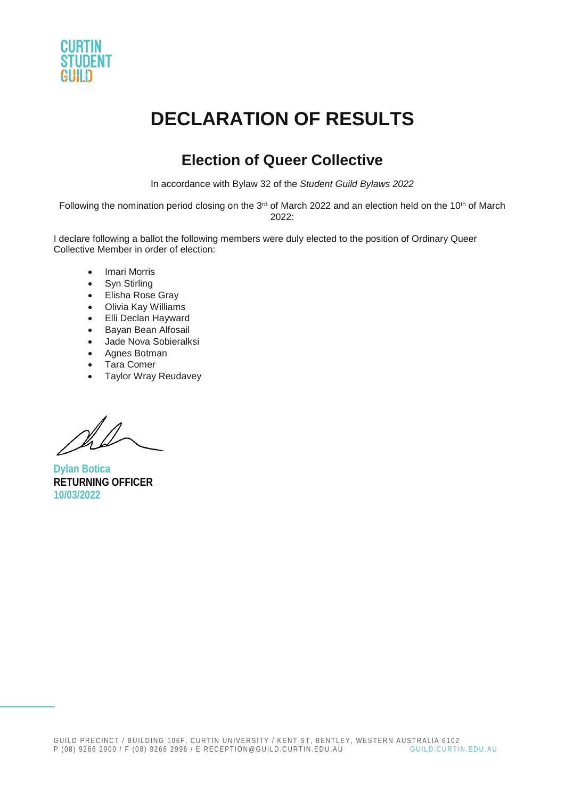

### **Election of Queer Collective**

In accordance with Bylaw 32 of the *Student Guild Bylaws 2022*

Following the nomination period closing on the 3<sup>rd</sup> of March 2022 and an election held on the 10<sup>th</sup> of March  $2022$ 

I declare following a ballot the following members were duly elected to the position of Ordinary Queer Collective Member in order of election:

- Imari Morris
- Syn Stirling
- Elisha Rose Gray
- Olivia Kay Williams
- Elli Declan Hayward
- Bayan Bean Alfosail
- Jade Nova Sobieralksi
- Agnes Botman
- Tara Comer
- Taylor Wray Reudavey

 $\mathscr{U}_\mathscr{A}$ 

**Dylan Botica RETURNING OFFICER 10/03/2022**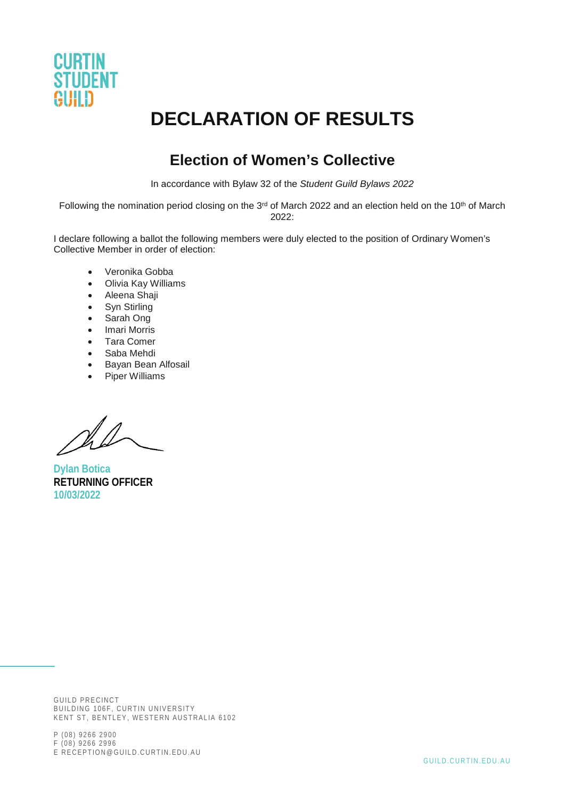

### **Election of Women's Collective**

In accordance with Bylaw 32 of the *Student Guild Bylaws 2022*

Following the nomination period closing on the 3<sup>rd</sup> of March 2022 and an election held on the 10<sup>th</sup> of March  $2022$ 

I declare following a ballot the following members were duly elected to the position of Ordinary Women's Collective Member in order of election:

- Veronika Gobba
- Olivia Kay Williams
- Aleena Shaji
- Syn Stirling
- Sarah Ong
- Imari Morris
- Tara Comer
- Saba Mehdi
- Bayan Bean Alfosail
- Piper Williams

 $\mathbb{Z}$ k

**Dylan Botica RETURNING OFFICER 10/03/2022**

GUILD PRECINCT BUILDING 106F, CURTIN UNIVERSITY KENT ST, BENTLEY, WESTERN AUSTRALIA 6102

P (08) 9266 2900 F (08) 9266 2996 E RECEPTION@GUILD.CURTIN.EDU.AU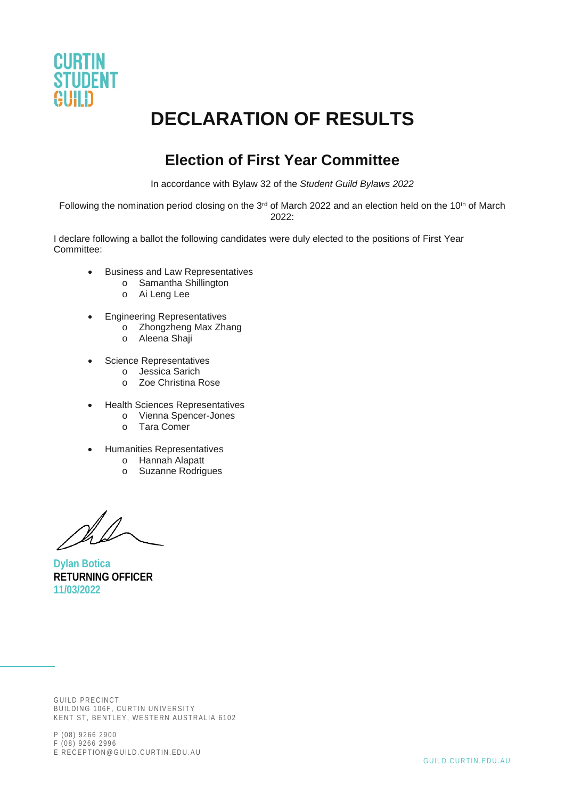

### **Election of First Year Committee**

In accordance with Bylaw 32 of the *Student Guild Bylaws 2022*

Following the nomination period closing on the 3<sup>rd</sup> of March 2022 and an election held on the 10<sup>th</sup> of March  $2022$ 

I declare following a ballot the following candidates were duly elected to the positions of First Year Committee:

- Business and Law Representatives
	- o Samantha Shillington
	- o Ai Leng Lee
- Engineering Representatives
	- o Zhongzheng Max Zhang
		- o Aleena Shaji
- Science Representatives
	- o Jessica Sarich
	- o Zoe Christina Rose
- Health Sciences Representatives
	- o Vienna Spencer-Jones
	- o Tara Comer
- Humanities Representatives
	- o Hannah Alapatt
	- o Suzanne Rodrigues

**Dylan Botica RETURNING OFFICER 11/03/2022**

GUILD PRECINCT BUILDING 106F, CURTIN UNIVERSITY KENT ST, BENTLEY, WESTERN AUSTRALIA 6102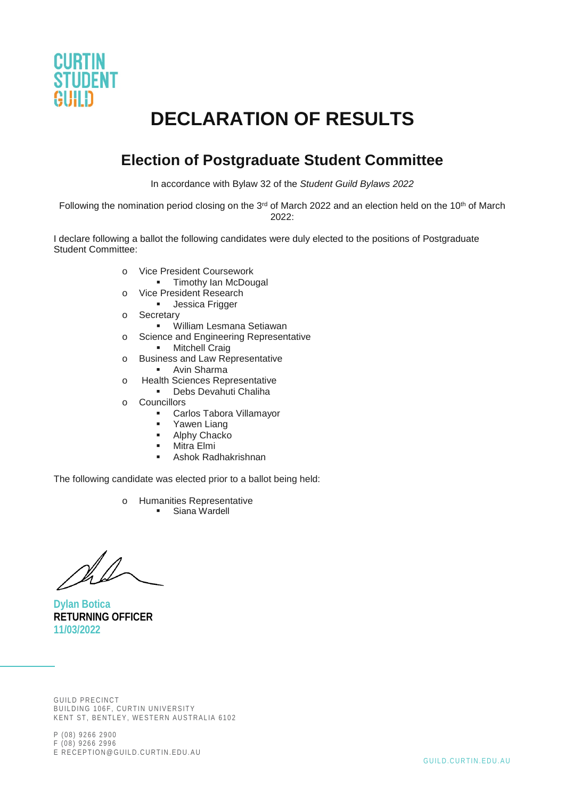

#### **Election of Postgraduate Student Committee**

In accordance with Bylaw 32 of the *Student Guild Bylaws 2022*

Following the nomination period closing on the 3<sup>rd</sup> of March 2022 and an election held on the 10<sup>th</sup> of March  $2022$ 

I declare following a ballot the following candidates were duly elected to the positions of Postgraduate Student Committee:

- o Vice President Coursework
	- **Timothy Ian McDougal**
- o Vice President Research
	- **Jessica Frigger**
- o Secretary
	- William Lesmana Setiawan
- o Science and Engineering Representative **Mitchell Craig**
- o Business and Law Representative
	- **Avin Sharma**
- o Health Sciences Representative
	- **•** Debs Devahuti Chaliha
- o Councillors
	- Carlos Tabora Villamayor
	- Yawen Liang<br>■ Alphy Chacke
	- Alphy Chacko
	- **Mitra Elmi**
	- Ashok Radhakrishnan

The following candidate was elected prior to a ballot being held:

- o Humanities Representative
	- **Siana Wardell**

**Dylan Botica RETURNING OFFICER 11/03/2022**

GUILD PRECINCT BUILDING 106F, CURTIN UNIVERSITY KENT ST, BENTLEY, WESTERN AUSTRALIA 6102

P (08) 9266 2900 F (08) 9266 2996 E RECEPTION@GUILD.CURTIN.EDU.AU